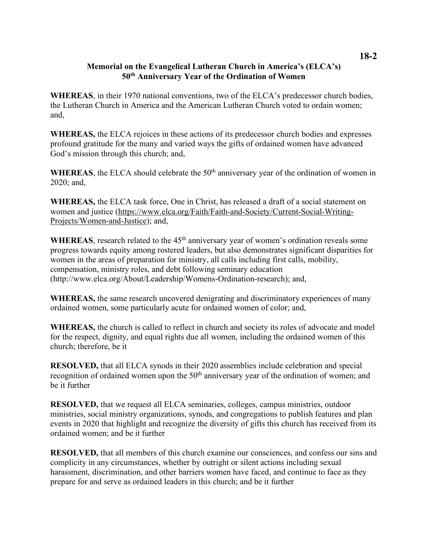## **Memorial on the Evangelical Lutheran Church in America's (ELCA's) 50th Anniversary Year of the Ordination of Women**

**WHEREAS**, in their 1970 national conventions, two of the ELCA's predecessor church bodies, the Lutheran Church in America and the American Lutheran Church voted to ordain women; and,

**WHEREAS,** the ELCA rejoices in these actions of its predecessor church bodies and expresses profound gratitude for the many and varied ways the gifts of ordained women have advanced God's mission through this church; and,

WHEREAS, the ELCA should celebrate the 50<sup>th</sup> anniversary year of the ordination of women in 2020; and,

**WHEREAS,** the ELCA task force, One in Christ, has released a draft of a social statement on women and justice (https://www.elca.org/Faith/Faith-and-Society/Current-Social-Writing-Projects/Women-and-Justice); and,

WHEREAS, research related to the 45<sup>th</sup> anniversary year of women's ordination reveals some progress towards equity among rostered leaders, but also demonstrates significant disparities for women in the areas of preparation for ministry, all calls including first calls, mobility, compensation, ministry roles, and debt following seminary education (http://www.elca.org/About/Leadership/Womens-Ordination-research); and,

**WHEREAS,** the same research uncovered denigrating and discriminatory experiences of many ordained women, some particularly acute for ordained women of color; and,

**WHEREAS,** the church is called to reflect in church and society its roles of advocate and model for the respect, dignity, and equal rights due all women, including the ordained women of this church; therefore, be it

**RESOLVED,** that all ELCA synods in their 2020 assemblies include celebration and special recognition of ordained women upon the 50<sup>th</sup> anniversary year of the ordination of women; and be it further

**RESOLVED,** that we request all ELCA seminaries, colleges, campus ministries, outdoor ministries, social ministry organizations, synods, and congregations to publish features and plan events in 2020 that highlight and recognize the diversity of gifts this church has received from its ordained women; and be it further

**RESOLVED,** that all members of this church examine our consciences, and confess our sins and complicity in any circumstances, whether by outright or silent actions including sexual harassment, discrimination, and other barriers women have faced, and continue to face as they prepare for and serve as ordained leaders in this church; and be it further